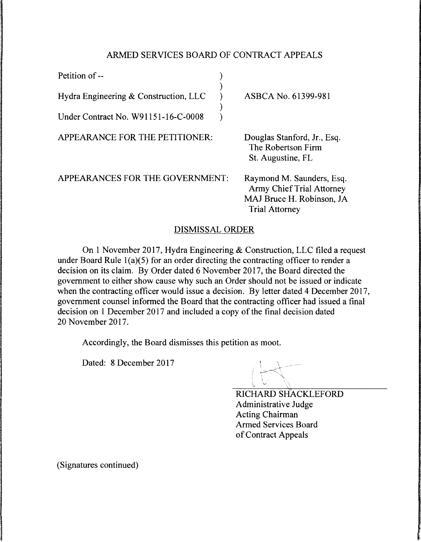## ARMED SERVICES BOARD OF CONTRACT APPEALS

| Petition of --                        |                                                                                                                     |
|---------------------------------------|---------------------------------------------------------------------------------------------------------------------|
| Hydra Engineering & Construction, LLC | ASBCA No. 61399-981                                                                                                 |
| Under Contract No. W91151-16-C-0008   |                                                                                                                     |
| APPEARANCE FOR THE PETITIONER:        | Douglas Stanford, Jr., Esq.<br>The Robertson Firm<br>St. Augustine, FL                                              |
| APPEARANCES FOR THE GOVERNMENT:       | Raymond M. Saunders, Esq.<br><b>Army Chief Trial Attorney</b><br>MAJ Bruce H. Robinson, JA<br><b>Trial Attorney</b> |

## DISMISSAL ORDER

On 1 November 2017, Hydra Engineering & Construction, LLC filed a request under Board Rule l(a)(5) for an order directing the contracting officer to render a decision on its claim. By Order dated 6 November 2017, the Board directed the government to either show cause why such an Order should not be issued or indicate when the contracting officer would issue a decision. By letter dated 4 December 2017, government counsel informed the Board that the contracting officer had issued a final decision on 1 December 2017 and included a copy of the final decision dated 20 November 2017.

Accordingly, the Board dismisses this petition as moot.

Dated: 8 December 2017

 $\int_{\mathbb{R}^2}$ 

RICHARD SHACKLEFORD Administrative Judge Acting Chairman Armed Services Board of Contract Appeals

(Signatures continued)